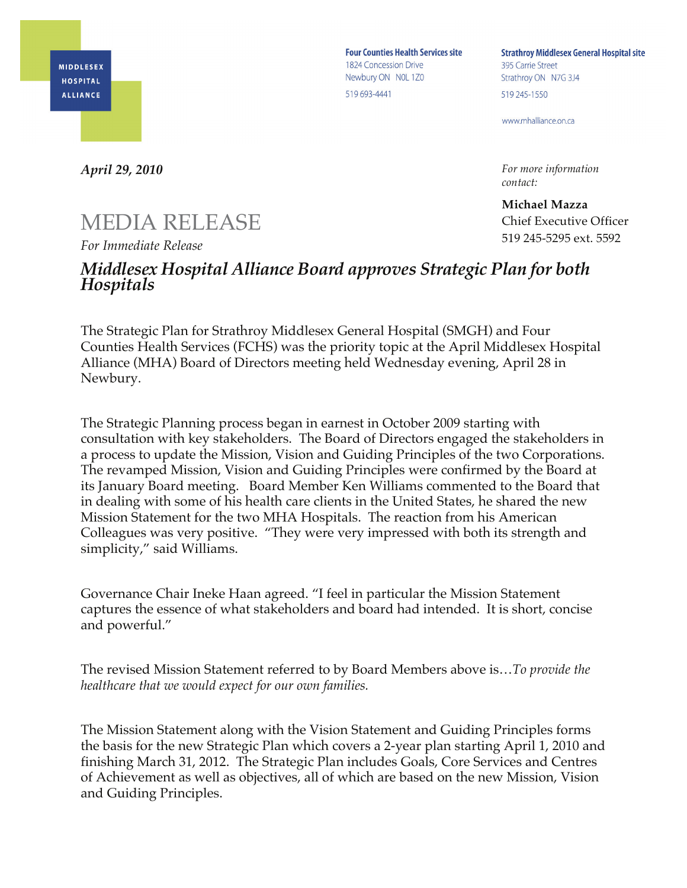

**Four Counties Health Services site** 1824 Concession Drive Newbury ON NOL 1Z0 519 693-4441

**Strathroy Middlesex General Hospital site** 395 Carrie Street Strathroy ON N7G 3J4 519 245-1550

www.mhalliance.on.ca

*For more information contact:*

**Michael Mazza** Chief Executive Officer 519 245-5295 ext. 5592

*April 29, 2010* 

## MEDIA RELEASE

*For Immediate Release*

## *Middlesex Hospital Alliance Board approves Strategic Plan for both Hospitals*

The Strategic Plan for Strathroy Middlesex General Hospital (SMGH) and Four Counties Health Services (FCHS) was the priority topic at the April Middlesex Hospital Alliance (MHA) Board of Directors meeting held Wednesday evening, April 28 in Newbury.

The Strategic Planning process began in earnest in October 2009 starting with consultation with key stakeholders. The Board of Directors engaged the stakeholders in a process to update the Mission, Vision and Guiding Principles of the two Corporations. The revamped Mission, Vision and Guiding Principles were confirmed by the Board at its January Board meeting. Board Member Ken Williams commented to the Board that in dealing with some of his health care clients in the United States, he shared the new Mission Statement for the two MHA Hospitals. The reaction from his American Colleagues was very positive. "They were very impressed with both its strength and simplicity," said Williams.

Governance Chair Ineke Haan agreed. "I feel in particular the Mission Statement captures the essence of what stakeholders and board had intended. It is short, concise and powerful."

The revised Mission Statement referred to by Board Members above is…*To provide the healthcare that we would expect for our own families.*

The Mission Statement along with the Vision Statement and Guiding Principles forms the basis for the new Strategic Plan which covers a 2-year plan starting April 1, 2010 and finishing March 31, 2012. The Strategic Plan includes Goals, Core Services and Centres of Achievement as well as objectives, all of which are based on the new Mission, Vision and Guiding Principles.